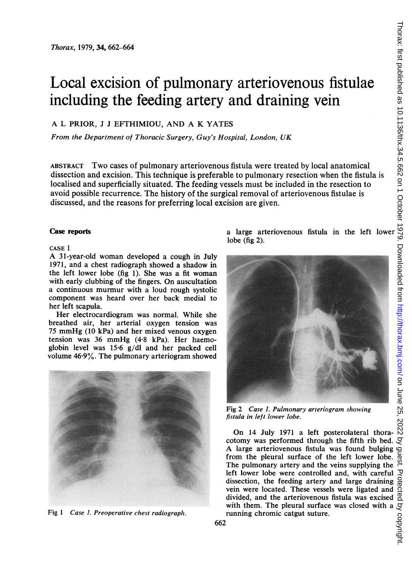# Local excision of pulmonary arteriovenous fistulae including the feeding artery and draining vein

## A L PRIOR, <sup>J</sup> <sup>J</sup> EFTHIMIOU, AND A K YATES

From the Department of Thoracic Surgery, Guy's Hospital, London, UK

ABSTRACT Two cases of pulmonary arteriovenous fistula were treated by local anatomical dissection and excision. This technique is preferable to pulmonary resection when the fistula is localised and superficially situated. The feeding vessels must be included in the resection to avoid possible recurrence. The history of the surgical removal of arteriovenous fistulae is discussed, and the reasons for preferring local excision are given.

### CASE <sup>1</sup>

A 31-year-old woman developed <sup>a</sup> cough in July 1971, and a chest radiograph showed a shadow in the left lower lobe (fig 1). She was a fit woman with early clubbing of the fingers. On auscultation a continuous murmur with a loud rough systolic component was heard over her back medial to her left scapula.

Her electrocardiogram was normal. While she breathed air, her arterial oxygen tension was <sup>75</sup> mmHg (10 kPa) and her mixed venous oxygen tension was <sup>36</sup> mmHg (4-8 kPa). Her haemoglobin level was 15.6 g/dl and her packed cell volume 46.9%. The pulmonary arteriogram showed



Fig 1 Case 1. Preoperative chest radiograph. Tunning chromic catgut suture.

lobe (fig 2).



Fig 2 Case 1. Pulmonary arteriogram showing fistula in left lower lobe.

On <sup>14</sup> July <sup>1971</sup> <sup>a</sup> left posterolateral thoracotomy was performed through the fifth rib bed.  $\mathcal{F}$ A large arteriovenous fistula was found bulging from the pleural surface of the left lower lobe. The pulmonary artery and the veins supplying the left lower lobe were controlled and, with careful dissection, the feeding artery and large draining vein were located. These vessels were ligated and divided, and the arteriovenous fistula was excised  $\overline{a}$ <br>with them. The pleural surface was closed with a  $\overline{c}$ <br>running chromic catgut suture.<br>2 with them. The pleural surface was closed with a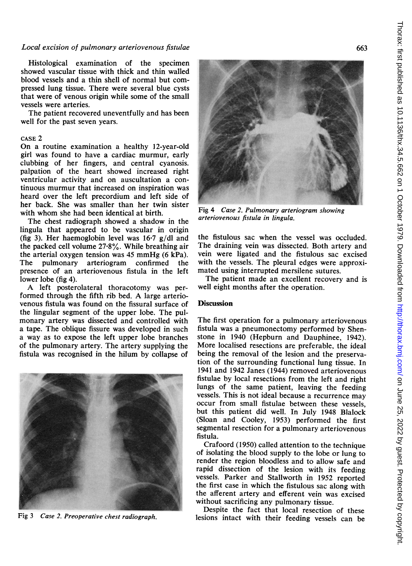#### Local excision of pulmonary arteriovenous fistulae

Histological examination of the specimen showed vascular tissue with thick and thin walled blood vessels and a thin shell of normal but compressed lung tissue. There were several blue cysts that were of venous origin while some of the small vessels were arteries.

The patient recovered uneventfully and has been well for the past seven years.

#### CASE 2

On a routine examination a healthy 12-year-old girl was found to have a cardiac murmur, early clubbing of her fingers, and central cyanosis. palpation of the heart showed increased right ventricular activity and on auscultation a continuous murmur that increased on inspiration was heard over the left precordium and left side of her back. She was smaller than her twin sister with whom she had been identical at birth.

The chest radiograph showed a shadow in the lingula that appeared to be vascular in origin (fig 3). Her haemoglobin level was 16-7 g/dl and the packed cell volume 27-8%. While breathing air the arterial oxygen tension was 45 mmHg (6 kPa).<br>The pulmonary arteriogram confirmed the pulmonary arteriogram confirmed presence of an arteriovenous fistula in the left lower lobe (fig 4).

A left posterolateral thoracotomy was performed through the fifth rib bed. A large arteriovenous fistula was found on the fissural surface of the lingular segment of the upper lobe. The pulmonary artery was dissected and controlled with a tape. The oblique fissure was developed in such a way as to expose the left upper lobe branches of the pulmonary artery. The artery supplying the fistula was recognised in the hilum by collapse of



Fig 3 Case 2. Preoperative chest radiograph.



Fig 4 Case 2. Pulmonary arteriogram showing arteriovenous fistula in lingula.

the fistulous sac when the vessel was occluded. The draining vein was dissected. Both artery and vein were ligated and the fistulous sac excised with the vessels. The pleural edges were approximated using interrupted mersilene sutures.

The patient made an excellent recovery and is well eight months after the operation.

#### **Discussion**

The first operation for a pulmonary arteriovenous fistula was a pneumonectomy performed by Shenstone in 1940 (Hepburn and Dauphinee, 1942). More localised resections are preferable, the ideal being the removal of the lesion and the preservation of the surrounding functional lung tissue. In 1941 and 1942 Janes (1944) removed arteriovenous fistulae by local resections from the left and right lungs of the same patient, leaving the feeding vessels. This is not ideal because a recurrence may occur from small fistulae between these vessels, but this patient did well. In July 1948 Blalock (Sloan and Cooley, 1953) performed the first segmental resection for a pulmonary arteriovenous fistula.

Crafoord (1950) called attention to the technique of isolating the blood supply to the lobe or lung to render the region bloodless and to allow safe and rapid dissection of the lesion with its feeding vessels. Parker and Stallworth in 1952 reported the first case in which the fistulous sac along with the afferent artery and efferent vein was excised without sacrificing any pulmonary tissue.

Despite the fact that local resection of these lesions intact with their feeding vessels can be